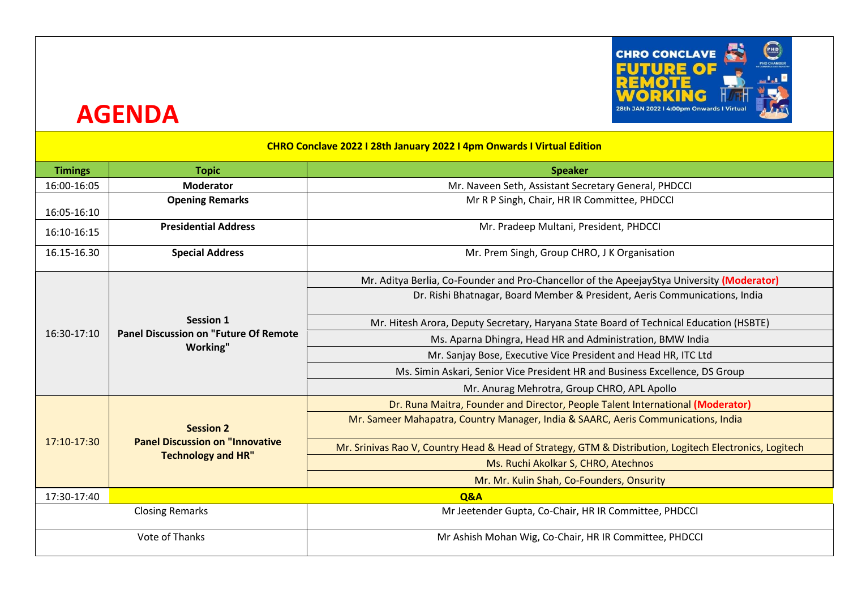

## **AGENDA**

|  | <b>CHRO Conclave 2022 I 28th January 2022 I 4pm Onwards I Virtual Edition</b> |
|--|-------------------------------------------------------------------------------|
|--|-------------------------------------------------------------------------------|

| <b>Timings</b>                                                                       | <b>Topic</b>                            | <b>Speaker</b>                                                                                          |
|--------------------------------------------------------------------------------------|-----------------------------------------|---------------------------------------------------------------------------------------------------------|
| 16:00-16:05                                                                          | <b>Moderator</b>                        | Mr. Naveen Seth, Assistant Secretary General, PHDCCI                                                    |
| 16:05-16:10                                                                          | <b>Opening Remarks</b>                  | Mr R P Singh, Chair, HR IR Committee, PHDCCI                                                            |
| 16:10-16:15                                                                          | <b>Presidential Address</b>             | Mr. Pradeep Multani, President, PHDCCI                                                                  |
| 16.15-16.30                                                                          | <b>Special Address</b>                  | Mr. Prem Singh, Group CHRO, J K Organisation                                                            |
| Session 1<br><b>Panel Discussion on "Future Of Remote</b><br>16:30-17:10<br>Working" |                                         | Mr. Aditya Berlia, Co-Founder and Pro-Chancellor of the ApeejayStya University (Moderator)              |
|                                                                                      |                                         | Dr. Rishi Bhatnagar, Board Member & President, Aeris Communications, India                              |
|                                                                                      |                                         | Mr. Hitesh Arora, Deputy Secretary, Haryana State Board of Technical Education (HSBTE)                  |
|                                                                                      |                                         | Ms. Aparna Dhingra, Head HR and Administration, BMW India                                               |
|                                                                                      |                                         | Mr. Sanjay Bose, Executive Vice President and Head HR, ITC Ltd                                          |
|                                                                                      |                                         | Ms. Simin Askari, Senior Vice President HR and Business Excellence, DS Group                            |
|                                                                                      |                                         | Mr. Anurag Mehrotra, Group CHRO, APL Apollo                                                             |
|                                                                                      | <b>Session 2</b>                        | Dr. Runa Maitra, Founder and Director, People Talent International (Moderator)                          |
|                                                                                      |                                         | Mr. Sameer Mahapatra, Country Manager, India & SAARC, Aeris Communications, India                       |
| 17:10-17:30                                                                          | <b>Panel Discussion on "Innovative"</b> | Mr. Srinivas Rao V, Country Head & Head of Strategy, GTM & Distribution, Logitech Electronics, Logitech |
|                                                                                      | <b>Technology and HR"</b>               | Ms. Ruchi Akolkar S, CHRO, Atechnos                                                                     |
|                                                                                      |                                         | Mr. Mr. Kulin Shah, Co-Founders, Onsurity                                                               |
| 17:30-17:40<br>Q&A                                                                   |                                         |                                                                                                         |
| <b>Closing Remarks</b><br>Mr Jeetender Gupta, Co-Chair, HR IR Committee, PHDCCI      |                                         |                                                                                                         |
| <b>Vote of Thanks</b>                                                                |                                         | Mr Ashish Mohan Wig, Co-Chair, HR IR Committee, PHDCCI                                                  |